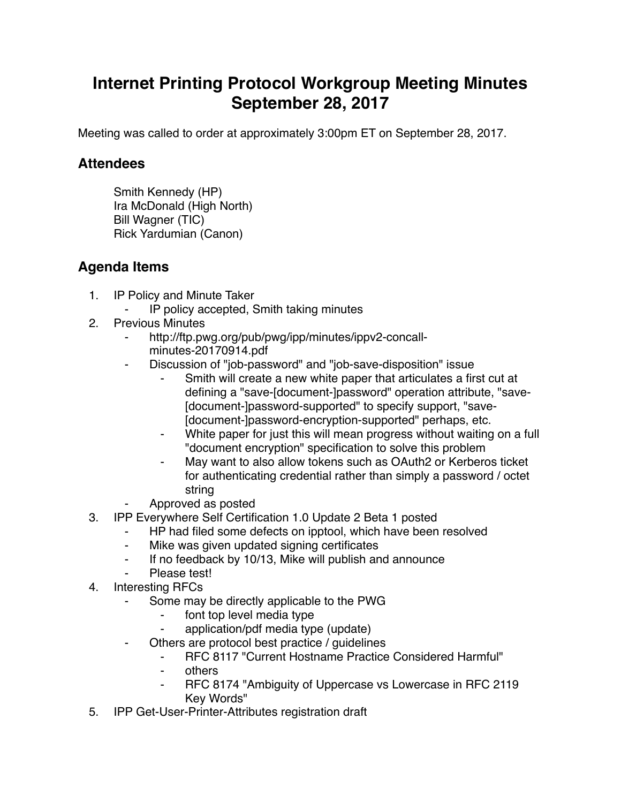## **Internet Printing Protocol Workgroup Meeting Minutes September 28, 2017**

Meeting was called to order at approximately 3:00pm ET on September 28, 2017.

## **Attendees**

Smith Kennedy (HP) Ira McDonald (High North) Bill Wagner (TIC) Rick Yardumian (Canon)

## **Agenda Items**

- 1. IP Policy and Minute Taker
	- IP policy accepted, Smith taking minutes
- 2. Previous Minutes
	- http://ftp.pwg.org/pub/pwg/ipp/minutes/ippv2-concallminutes-20170914.pdf
		- Discussion of "job-password" and "job-save-disposition" issue
			- Smith will create a new white paper that articulates a first cut at defining a "save-[document-]password" operation attribute, "save- [document-]password-supported" to specify support, "save- [document-]password-encryption-supported" perhaps, etc.
			- White paper for just this will mean progress without waiting on a full "document encryption" specification to solve this problem
			- May want to also allow tokens such as OAuth2 or Kerberos ticket for authenticating credential rather than simply a password / octet string
	- ⁃ Approved as posted
- 3. IPP Everywhere Self Certification 1.0 Update 2 Beta 1 posted
	- ⁃ HP had filed some defects on ipptool, which have been resolved
		- Mike was given updated signing certificates
		- ⁃ If no feedback by 10/13, Mike will publish and announce
		- Please test!
- 4. Interesting RFCs
	- Some may be directly applicable to the PWG
		- font top level media type
		- ⁃ application/pdf media type (update)
	- Others are protocol best practice / guidelines
		- RFC 8117 "Current Hostname Practice Considered Harmful"
		- ⁃ others
		- RFC 8174 "Ambiguity of Uppercase vs Lowercase in RFC 2119 Key Words"
- 5. IPP Get-User-Printer-Attributes registration draft